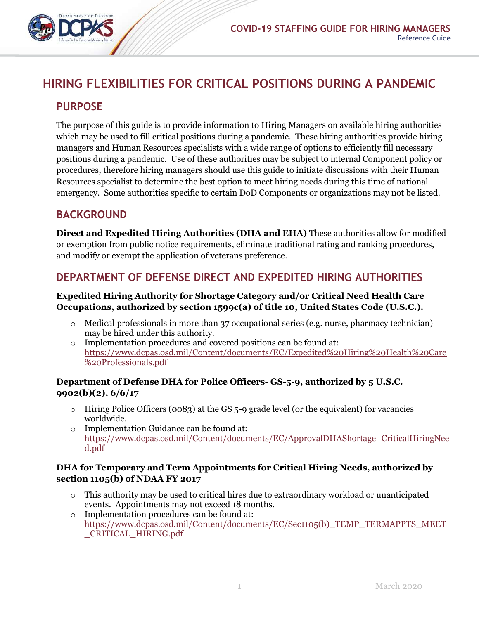

# **HIRING FLEXIBILITIES FOR CRITICAL POSITIONS DURING A PANDEMIC**

## **PURPOSE**

The purpose of this guide is to provide information to Hiring Managers on available hiring authorities which may be used to fill critical positions during a pandemic. These hiring authorities provide hiring managers and Human Resources specialists with a wide range of options to efficiently fill necessary positions during a pandemic. Use of these authorities may be subject to internal Component policy or procedures, therefore hiring managers should use this guide to initiate discussions with their Human Resources specialist to determine the best option to meet hiring needs during this time of national emergency. Some authorities specific to certain DoD Components or organizations may not be listed.

## **BACKGROUND**

**Direct and Expedited Hiring Authorities (DHA and EHA)** These authorities allow for modified or exemption from public notice requirements, eliminate traditional rating and ranking procedures, and modify or exempt the application of veterans preference.

# **DEPARTMENT OF DEFENSE DIRECT AND EXPEDITED HIRING AUTHORITIES**

### **Expedited Hiring Authority for Shortage Category and/or Critical Need Health Care Occupations, authorized by section 1599c(a) of title 10, United States Code (U.S.C.).**

- $\circ$  Medical professionals in more than 37 occupational series (e.g. nurse, pharmacy technician) may be hired under this authority.
- o Implementation procedures and covered positions can be found at: [https://www.dcpas.osd.mil/Content/documents/EC/Expedited%20Hiring%20Health%20Care](https://www.dcpas.osd.mil/Content/documents/EC/Expedited%20Hiring%20Health%20Care%20Professionals.pdf) [%20Professionals.pdf](https://www.dcpas.osd.mil/Content/documents/EC/Expedited%20Hiring%20Health%20Care%20Professionals.pdf)

### **Department of Defense DHA for Police Officers- GS-5-9, authorized by 5 U.S.C. 9902(b)(2), 6/6/17**

- $\circ$  Hiring Police Officers (0083) at the GS 5-9 grade level (or the equivalent) for vacancies worldwide.
- o Implementation Guidance can be found at: [https://www.dcpas.osd.mil/Content/documents/EC/ApprovalDHAShortage\\_CriticalHiringNee](https://www.dcpas.osd.mil/Content/documents/EC/ApprovalDHAShortage_CriticalHiringNeed.pdf) [d.pdf](https://www.dcpas.osd.mil/Content/documents/EC/ApprovalDHAShortage_CriticalHiringNeed.pdf)

#### **DHA for Temporary and Term Appointments for Critical Hiring Needs, authorized by section 1105(b) of NDAA FY 2017**

- $\circ$  This authority may be used to critical hires due to extraordinary workload or unanticipated events. Appointments may not exceed 18 months.
- o Implementation procedures can be found at: [https://www.dcpas.osd.mil/Content/documents/EC/Sec1105\(b\)\\_TEMP\\_TERMAPPTS\\_MEET](https://www.dcpas.osd.mil/Content/documents/EC/Sec1105(b)_TEMP_TERMAPPTS_MEET_CRITICAL_HIRING.pdf) [\\_CRITICAL\\_HIRING.pdf](https://www.dcpas.osd.mil/Content/documents/EC/Sec1105(b)_TEMP_TERMAPPTS_MEET_CRITICAL_HIRING.pdf)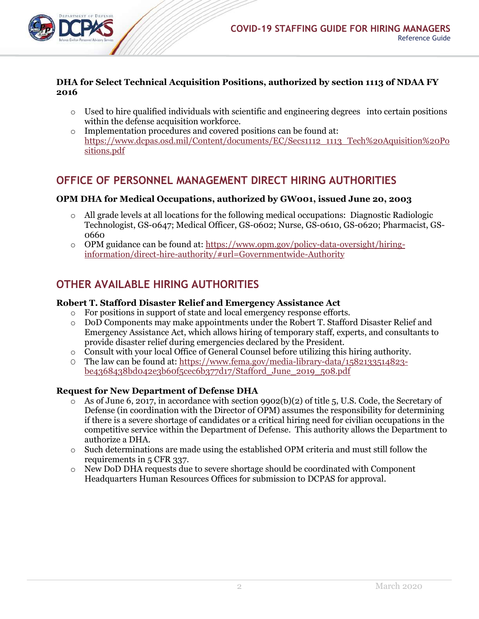

#### **DHA for Select Technical Acquisition Positions, authorized by section 1113 of NDAA FY 2016**

- $\circ$  Used to hire qualified individuals with scientific and engineering degrees into certain positions within the defense acquisition workforce.
- o Implementation procedures and covered positions can be found at: [https://www.dcpas.osd.mil/Content/documents/EC/Secs1112\\_1113\\_Tech%20Aquisition%20Po](https://www.dcpas.osd.mil/Content/documents/EC/Secs1112_1113_Tech%20Aquisition%20Positions.pdf) [sitions.pdf](https://www.dcpas.osd.mil/Content/documents/EC/Secs1112_1113_Tech%20Aquisition%20Positions.pdf)

# **OFFICE OF PERSONNEL MANAGEMENT DIRECT HIRING AUTHORITIES**

### **OPM DHA for Medical Occupations, authorized by GW001, issued June 20, 2003**

- o All grade levels at all locations for the following medical occupations: Diagnostic Radiologic Technologist, GS-0647; Medical Officer, GS-0602; Nurse, GS-0610, GS-0620; Pharmacist, GS-0660
- o OPM guidance can be found at: [https://www.opm.gov/policy-data-oversight/hiring](https://www.opm.gov/policy-data-oversight/hiring-information/direct-hire-authority/%23url=Governmentwide-Authority)[information/direct-hire-authority/#url=Governmentwide-Authority](https://www.opm.gov/policy-data-oversight/hiring-information/direct-hire-authority/%23url=Governmentwide-Authority)

# **OTHER AVAILABLE HIRING AUTHORITIES**

### **Robert T. Stafford Disaster Relief and Emergency Assistance Act**

- o For positions in support of state and local emergency response efforts.
- o DoD Components may make appointments under the Robert T. Stafford Disaster Relief and Emergency Assistance Act, which allows hiring of temporary staff, experts, and consultants to provide disaster relief during emergencies declared by the President.
- o Consult with your local Office of General Counsel before utilizing this hiring authority.
- O The law can be found at: [https://www.fema.gov/media-library-data/1582133514823](https://www.fema.gov/media-library-data/1582133514823-be4368438bd042e3b60f5cec6b377d17/Stafford_June_2019_508.pdf) [be4368438bd042e3b60f5cec6b377d17/Stafford\\_June\\_2019\\_508.pdf](https://www.fema.gov/media-library-data/1582133514823-be4368438bd042e3b60f5cec6b377d17/Stafford_June_2019_508.pdf)

#### **Request for New Department of Defense DHA**

- $\overline{\circ}$  As of June 6, 2017, in accordance with section 9902(b)(2) of title 5, U.S. Code, the Secretary of Defense (in coordination with the Director of OPM) assumes the responsibility for determining if there is a severe shortage of candidates or a critical hiring need for civilian occupations in the competitive service within the Department of Defense. This authority allows the Department to authorize a DHA.
- o Such determinations are made using the established OPM criteria and must still follow the requirements in 5 CFR 337.
- o New DoD DHA requests due to severe shortage should be coordinated with Component Headquarters Human Resources Offices for submission to DCPAS for approval.